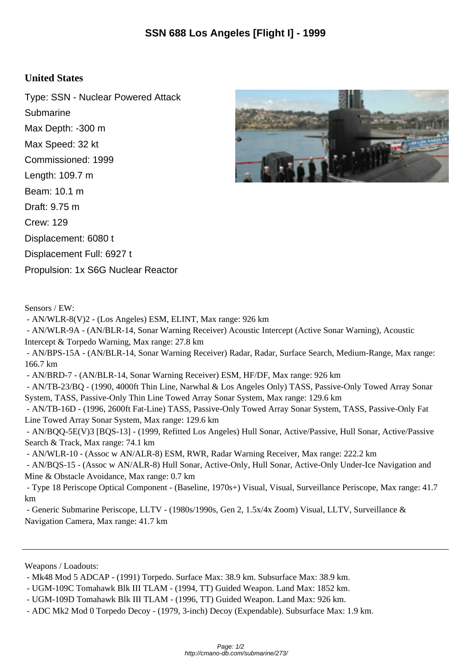## **United States**

Type: SSN - Nuclear Powered Attack Submarine Max Depth: -300 m Max Speed: 32 kt Commissioned: 1999 Length: 109.7 m Beam: 10.1 m Draft: 9.75 m Crew: 129 Displacement: 6080 t Displacement Full: 6927 t Propulsion: 1x S6G Nuclear Reactor



Sensors / EW:

- AN/WLR-8(V)2 - (Los Angeles) ESM, ELINT, Max range: 926 km

 - AN/WLR-9A - (AN/BLR-14, Sonar Warning Receiver) Acoustic Intercept (Active Sonar Warning), Acoustic Intercept & Torpedo Warning, Max range: 27.8 km

 - AN/BPS-15A - (AN/BLR-14, Sonar Warning Receiver) Radar, Radar, Surface Search, Medium-Range, Max range: 166.7 km

- AN/BRD-7 - (AN/BLR-14, Sonar Warning Receiver) ESM, HF/DF, Max range: 926 km

 - AN/TB-23/BQ - (1990, 4000ft Thin Line, Narwhal & Los Angeles Only) TASS, Passive-Only Towed Array Sonar System, TASS, Passive-Only Thin Line Towed Array Sonar System, Max range: 129.6 km

 - AN/TB-16D - (1996, 2600ft Fat-Line) TASS, Passive-Only Towed Array Sonar System, TASS, Passive-Only Fat Line Towed Array Sonar System, Max range: 129.6 km

 - AN/BQQ-5E(V)3 [BQS-13] - (1999, Refitted Los Angeles) Hull Sonar, Active/Passive, Hull Sonar, Active/Passive Search & Track, Max range: 74.1 km

- AN/WLR-10 - (Assoc w AN/ALR-8) ESM, RWR, Radar Warning Receiver, Max range: 222.2 km

 - AN/BQS-15 - (Assoc w AN/ALR-8) Hull Sonar, Active-Only, Hull Sonar, Active-Only Under-Ice Navigation and Mine & Obstacle Avoidance, Max range: 0.7 km

 - Type 18 Periscope Optical Component - (Baseline, 1970s+) Visual, Visual, Surveillance Periscope, Max range: 41.7 km

 - Generic Submarine Periscope, LLTV - (1980s/1990s, Gen 2, 1.5x/4x Zoom) Visual, LLTV, Surveillance & Navigation Camera, Max range: 41.7 km

Weapons / Loadouts:

 <sup>-</sup> Mk48 Mod 5 ADCAP - (1991) Torpedo. Surface Max: 38.9 km. Subsurface Max: 38.9 km.

 <sup>-</sup> UGM-109C Tomahawk Blk III TLAM - (1994, TT) Guided Weapon. Land Max: 1852 km.

 <sup>-</sup> UGM-109D Tomahawk Blk III TLAM - (1996, TT) Guided Weapon. Land Max: 926 km.

 <sup>-</sup> ADC Mk2 Mod 0 Torpedo Decoy - (1979, 3-inch) Decoy (Expendable). Subsurface Max: 1.9 km.